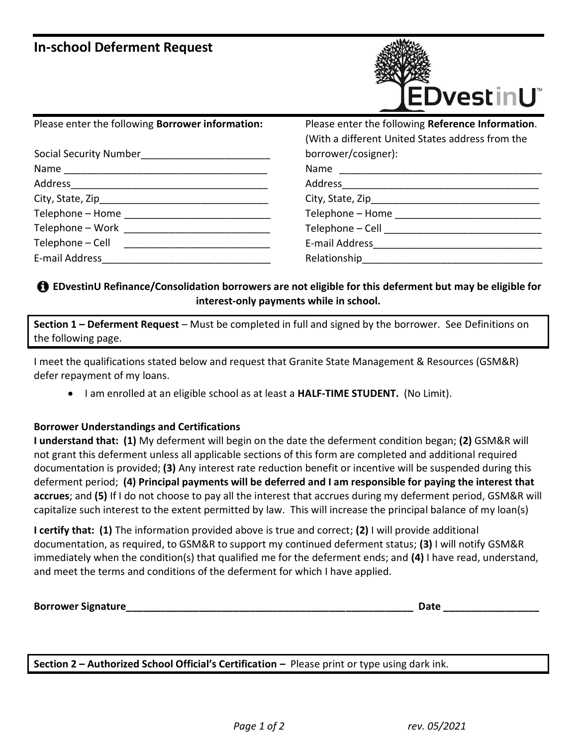# **In-school Deferment Request**



| Please enter the following Borrower information: |  |
|--------------------------------------------------|--|
|--------------------------------------------------|--|

| <b>Social Security Number</b> |
|-------------------------------|
| Name                          |
| Address __________            |
| City, State, Zip____________  |
| Telephone - Home              |
| Telephone - Work              |
| Telephone - Cell              |
| E-mail Address                |

Please enter the following **Reference Information**. (With a different United States address from the borrower/cosigner): Name \_\_\_\_\_\_\_\_\_\_\_\_\_\_\_\_\_\_\_\_\_\_\_\_\_\_\_\_\_\_\_\_\_\_\_\_ Address\_\_\_\_\_\_\_\_\_\_\_\_\_\_\_\_\_\_\_\_\_\_\_\_\_\_\_\_\_\_\_\_\_\_\_

City, State, Zip  $\blacksquare$  Telephone – Home

Telephone – Cell **Land and all and all and all and all and all and all and all and all and all and all and all a** 

E-mail Address\_\_\_\_\_\_\_\_\_\_\_\_\_\_\_\_\_\_\_\_\_\_\_\_\_\_\_\_\_\_

Relationship

## **EDvestinU Refinance/Consolidation borrowers are not eligible for this deferment but may be eligible for interest-only payments while in school.**

 **Section 1 – Deferment Request** – Must be completed in full and signed by the borrower. See Definitions on the following page.

 I meet the qualifications stated below and request that Granite State Management & Resources (GSM&R) defer repayment of my loans.

I am enrolled at an eligible school as at least a **HALF-TIME STUDENT.** (No Limit).

## **Borrower Understandings and Certifications**

 **I understand that: (1)** My deferment will begin on the date the deferment condition began; **(2)** GSM&R will not grant this deferment unless all applicable sections of this form are completed and additional required documentation is provided; **(3)** Any interest rate reduction benefit or incentive will be suspended during this deferment period; **(4) Principal payments will be deferred and I am responsible for paying the interest that accrues**; and **(5)** If I do not choose to pay all the interest that accrues during my deferment period, GSM&R will capitalize such interest to the extent permitted by law. This will increase the principal balance of my loan(s)

 **I certify that: (1)** The information provided above is true and correct; **(2)** I will provide additional documentation, as required, to GSM&R to support my continued deferment status; **(3)** I will notify GSM&R immediately when the condition(s) that qualified me for the deferment ends; and **(4)** I have read, understand, and meet the terms and conditions of the deferment for which I have applied.

| <b>Borrower Signature</b> | Jat |  |
|---------------------------|-----|--|
|                           |     |  |

 **Section 2 – Authorized School Official's Certification –** Please print or type using dark ink.